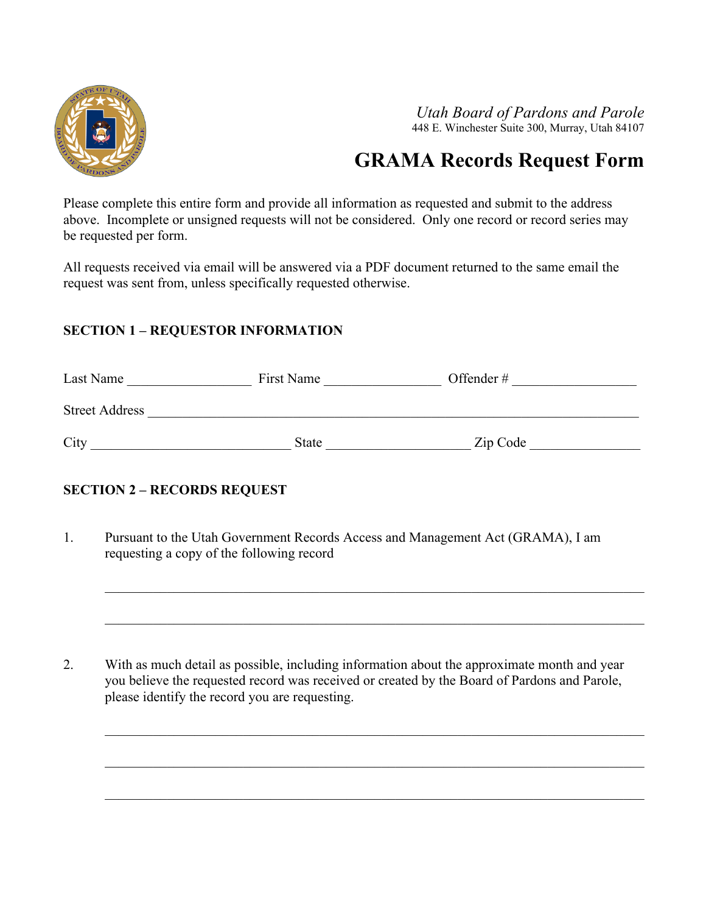

*Utah Board of Pardons and Parole* 448 E. Winchester Suite 300, Murray, Utah 84107

# **GRAMA Records Request Form**

Please complete this entire form and provide all information as requested and submit to the address above. Incomplete or unsigned requests will not be considered. Only one record or record series may be requested per form.

All requests received via email will be answered via a PDF document returned to the same email the request was sent from, unless specifically requested otherwise.

#### **SECTION 1 – REQUESTOR INFORMATION**

| Last Name             | First Name   | Offender # |
|-----------------------|--------------|------------|
| <b>Street Address</b> |              |            |
| City                  | <b>State</b> | Zip Code   |

#### **SECTION 2 – RECORDS REQUEST**

1. Pursuant to the Utah Government Records Access and Management Act (GRAMA), I am requesting a copy of the following record

2. With as much detail as possible, including information about the approximate month and year you believe the requested record was received or created by the Board of Pardons and Parole, please identify the record you are requesting.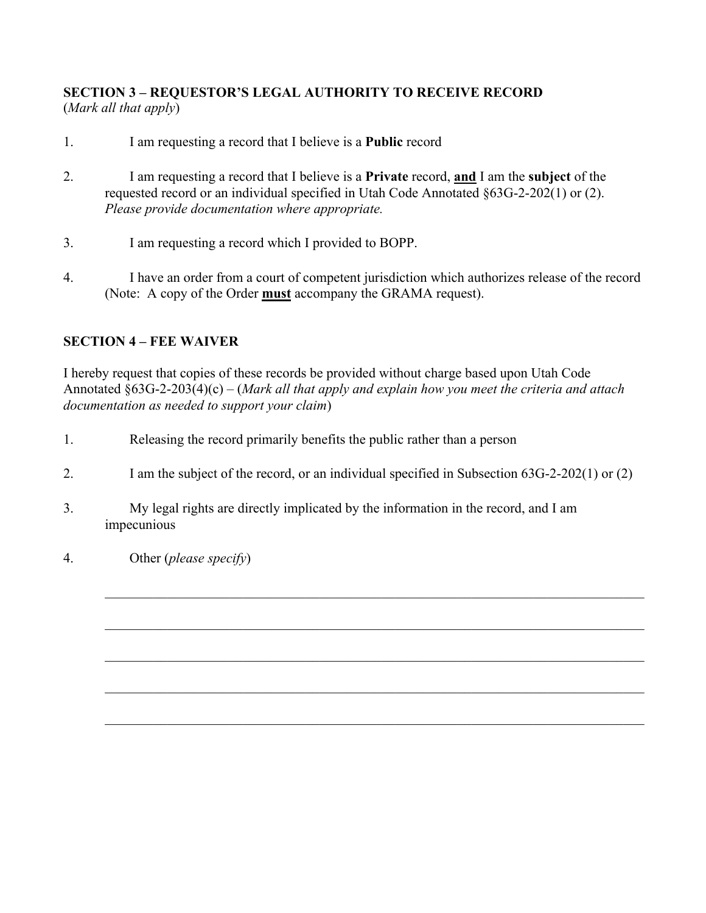## **SECTION 3 – REQUESTOR'S LEGAL AUTHORITY TO RECEIVE RECORD**  (*Mark all that apply*)

- 1. I am requesting a record that I believe is a **Public** record
- 2. I am requesting a record that I believe is a **Private** record, **and** I am the **subject** of the requested record or an individual specified in Utah Code Annotated §63G-2-202(1) or (2). *Please provide documentation where appropriate.*
- 3. I am requesting a record which I provided to BOPP.
- 4. I have an order from a court of competent jurisdiction which authorizes release of the record (Note: A copy of the Order **must** accompany the GRAMA request).

## **SECTION 4 – FEE WAIVER**

I hereby request that copies of these records be provided without charge based upon Utah Code Annotated §63G-2-203(4)(c) – (*Mark all that apply and explain how you meet the criteria and attach documentation as needed to support your claim*)

- 1. Releasing the record primarily benefits the public rather than a person
- 2. I am the subject of the record, or an individual specified in Subsection 63G-2-202(1) or (2)

 $\_$  , and the set of the set of the set of the set of the set of the set of the set of the set of the set of the set of the set of the set of the set of the set of the set of the set of the set of the set of the set of th

- 3. My legal rights are directly implicated by the information in the record, and I am impecunious
- 4. Other (*please specify*)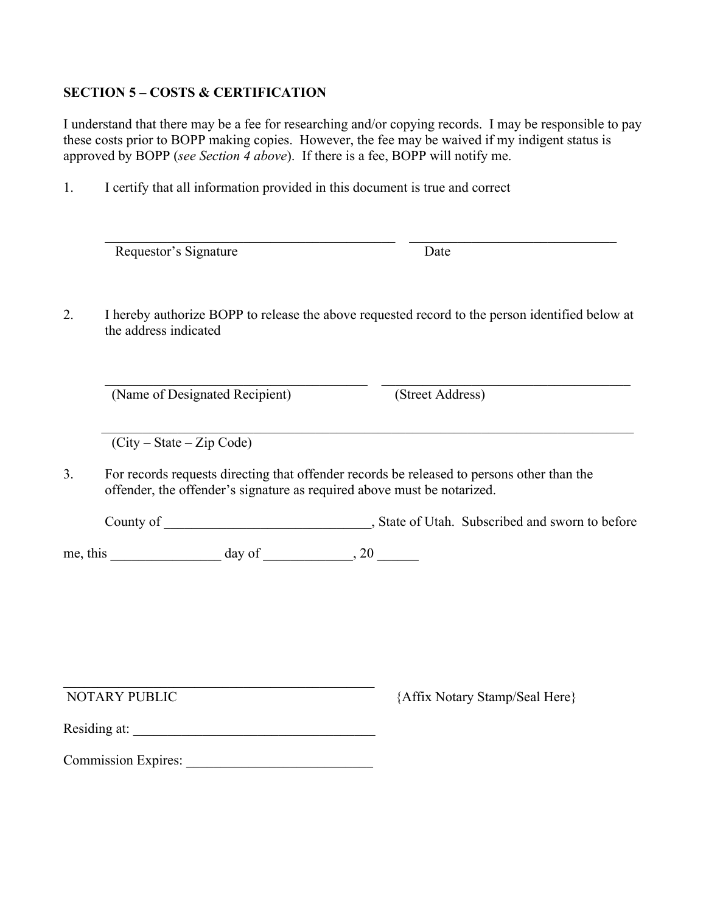#### **SECTION 5 – COSTS & CERTIFICATION**

I understand that there may be a fee for researching and/or copying records. I may be responsible to pay these costs prior to BOPP making copies. However, the fee may be waived if my indigent status is approved by BOPP (*see Section 4 above*). If there is a fee, BOPP will notify me.

1. I certify that all information provided in this document is true and correct

|               | Requestor's Signature                                                                                                                                                 | Date             |                                |  |
|---------------|-----------------------------------------------------------------------------------------------------------------------------------------------------------------------|------------------|--------------------------------|--|
|               | I hereby authorize BOPP to release the above requested record to the person identified below at<br>the address indicated                                              |                  |                                |  |
|               | (Name of Designated Recipient)                                                                                                                                        | (Street Address) |                                |  |
|               | $(City - State - Zip Code)$                                                                                                                                           |                  |                                |  |
|               |                                                                                                                                                                       |                  |                                |  |
|               | For records requests directing that offender records be released to persons other than the<br>offender, the offender's signature as required above must be notarized. |                  |                                |  |
|               |                                                                                                                                                                       |                  |                                |  |
|               | me, this $\qquad \qquad \text{day of} \qquad \qquad .20$                                                                                                              |                  |                                |  |
|               |                                                                                                                                                                       |                  |                                |  |
|               |                                                                                                                                                                       |                  |                                |  |
|               |                                                                                                                                                                       |                  |                                |  |
|               |                                                                                                                                                                       |                  | {Affix Notary Stamp/Seal Here} |  |
| NOTARY PUBLIC |                                                                                                                                                                       |                  |                                |  |